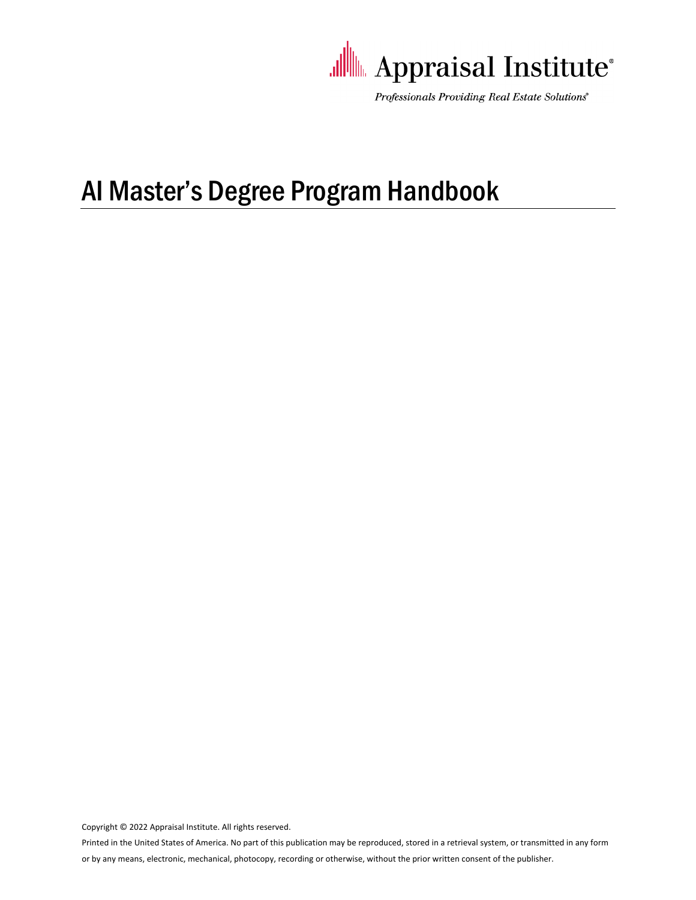

Professionals Providing Real Estate Solutions®

# AI Master's Degree Program Handbook

Copyright © 2022 Appraisal Institute. All rights reserved.

Printed in the United States of America. No part of this publication may be reproduced, stored in a retrieval system, or transmitted in any form

or by any means, electronic, mechanical, photocopy, recording or otherwise, without the prior written consent of the publisher.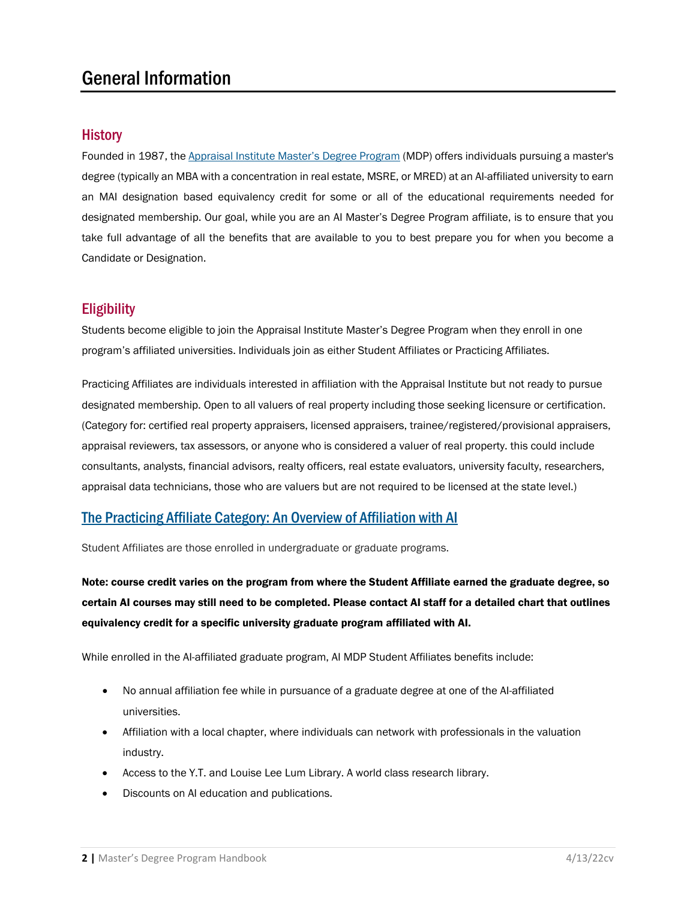### General Information

#### **History**

Founded in 1987, the [Appraisal Institute Master's Degree Program](http://www.appraisalinstitute.org/ai-masters-degree-program/) (MDP) offers individuals pursuing a master's degree (typically an MBA with a concentration in real estate, MSRE, or MRED) at an AI-affiliated university to earn an MAI designation based equivalency credit for some or all of the educational requirements needed for designated membership. Our goal, while you are an AI Master's Degree Program affiliate, is to ensure that you take full advantage of all the benefits that are available to you to best prepare you for when you become a Candidate or Designation.

#### **Eligibility**

Students become eligible to join the Appraisal Institute Master's Degree Program when they enroll in one program's affiliated universities. Individuals join as either Student Affiliates or Practicing Affiliates.

Practicing Affiliates are individuals interested in affiliation with the Appraisal Institute but not ready to pursue designated membership. Open to all valuers of real property including those seeking licensure or certification. (Category for: certified real property appraisers, licensed appraisers, trainee/registered/provisional appraisers, appraisal reviewers, tax assessors, or anyone who is considered a valuer of real property. this could include consultants, analysts, financial advisors, realty officers, real estate evaluators, university faculty, researchers, appraisal data technicians, those who are valuers but are not required to be licensed at the state level.)

#### [The Practicing Affiliate Category: An Overview](https://www.appraisalinstitute.org/assets/1/7/PA-PPT.pdf) of Affiliation with AI

Student Affiliates are those enrolled in undergraduate or graduate programs.

Note: course credit varies on the program from where the Student Affiliate earned the graduate degree, so certain AI courses may still need to be completed. Please contact AI staff for a detailed chart that outlines equivalency credit for a specific university graduate program affiliated with AI.

While enrolled in the AI-affiliated graduate program, AI MDP Student Affiliates benefits include:

- No annual affiliation fee while in pursuance of a graduate degree at one of the AI-affiliated universities.
- Affiliation with a local chapter, where individuals can network with professionals in the valuation industry.
- Access to the Y.T. and Louise Lee Lum Library. A world class research library.
- Discounts on AI education and publications.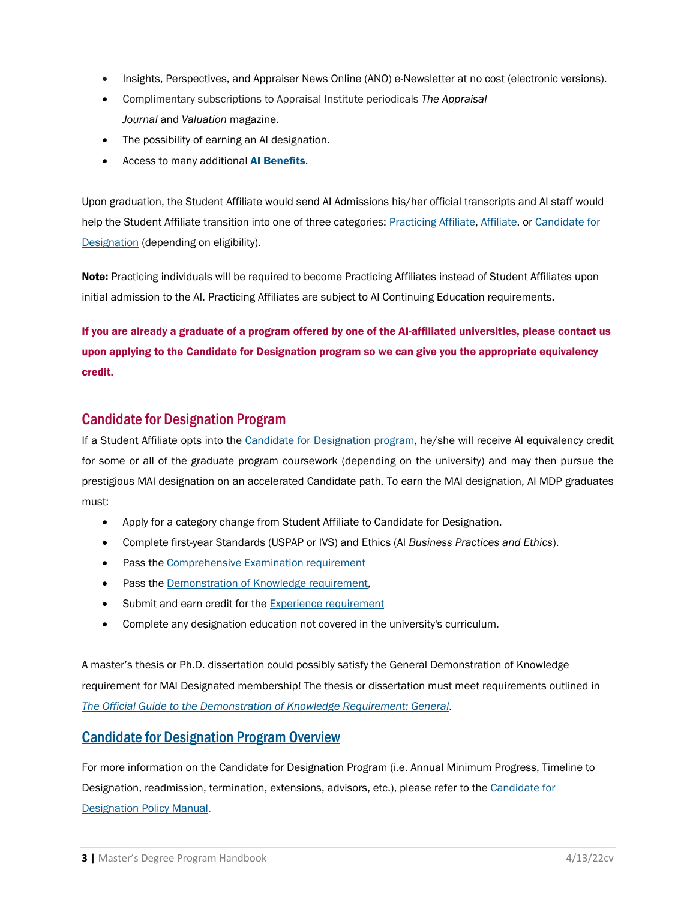- Insights, Perspectives, and Appraiser News Online (ANO) e-Newsletter at no cost (electronic versions).
- Complimentary subscriptions to Appraisal Institute periodicals *The Appraisal Journal* and *Valuation* magazine.
- The possibility of earning an AI designation.
- Access to many additional [AI Benefits](https://www.appraisalinstitute.org/ai-benefits/).

Upon graduation, the Student Affiliate would send AI Admissions his/her official transcripts and AI staff would help the Student Affiliate transition into one of three categories[: Practicing Affiliate,](https://www.appraisalinstitute.org/practicing-affiliate/) [Affiliate,](https://www.appraisalinstitute.org/affiliate/) or [Candidate for](https://www.appraisalinstitute.org/candidate/)  [Designation](https://www.appraisalinstitute.org/candidate/) (depending on eligibility).

Note: Practicing individuals will be required to become Practicing Affiliates instead of Student Affiliates upon initial admission to the AI. Practicing Affiliates are subject to AI Continuing Education requirements.

If you are already a graduate of a program offered by one of the AI-affiliated universities, please contact us upon applying to the Candidate for Designation program so we can give you the appropriate equivalency credit.

#### Candidate for Designation Program

If a Student Affiliate opts into the [Candidate for Designation program,](https://www.appraisalinstitute.org/designation-requirements/) he/she will receive AI equivalency credit for some or all of the graduate program coursework (depending on the university) and may then pursue the prestigious MAI designation on an accelerated Candidate path. To earn the MAI designation, AI MDP graduates must:

- Apply for a category change from Student Affiliate to Candidate for Designation.
- Complete first-year Standards (USPAP or IVS) and Ethics (AI *Business Practices and Ethics*).
- Pass the [Comprehensive Examination requirement](https://www.appraisalinstitute.org/assets/1/7/guidebook-comp.pdf)
- Pass the [Demonstration of Knowledge requirement,](https://www.appraisalinstitute.org/assets/1/7/guidebook-demogeneral.pdf)
- Submit and earn credit for the **Experience requirement**
- Complete any designation education not covered in the university's curriculum.

A master's thesis or Ph.D. dissertation could possibly satisfy the General Demonstration of Knowledge requirement for MAI Designated membership! The thesis or dissertation must meet requirements outlined in *The [Official Guide to the Demonstration of Knowledge Requirement: General](https://www.appraisalinstitute.org/assets/1/7/guidebook-demogeneral.pdf)*.

#### [Candidate for Designation Program Overview](https://www.appraisalinstitute.org/assets/1/7/candidate-overview.pdf)

For more information on the Candidate for Designation Program (i.e. Annual Minimum Progress, Timeline to Designation, readmission, termination, extensions, advisors, etc.), please refer to the Candidate for [Designation Policy Manual.](https://www.appraisalinstitute.org/assets/1/7/policymanual-candidate.pdf)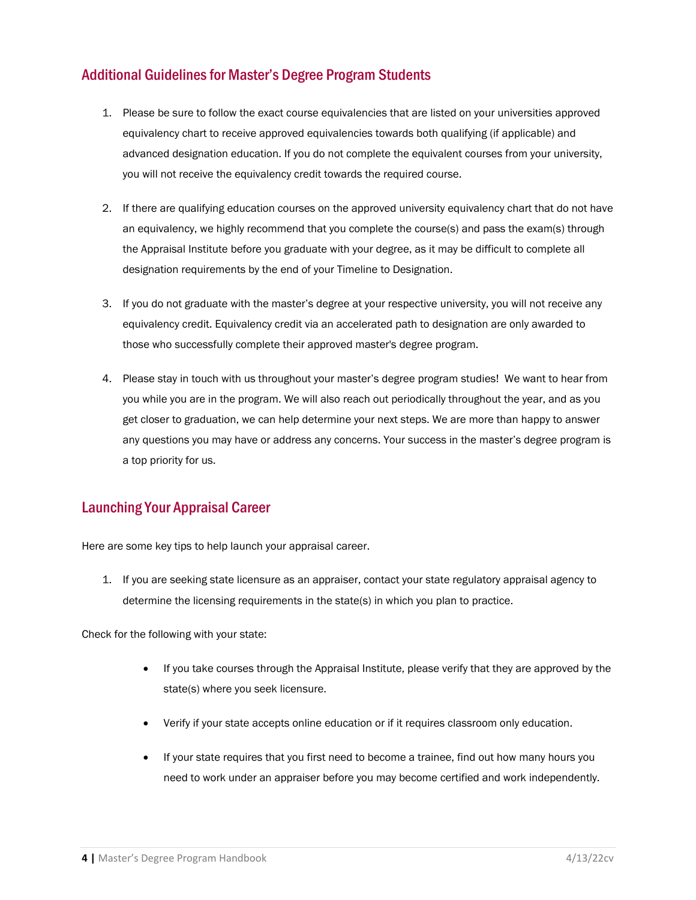### Additional Guidelines for Master's Degree Program Students

- 1. Please be sure to follow the exact course equivalencies that are listed on your universities approved equivalency chart to receive approved equivalencies towards both qualifying (if applicable) and advanced designation education. If you do not complete the equivalent courses from your university, you will not receive the equivalency credit towards the required course.
- 2. If there are qualifying education courses on the approved university equivalency chart that do not have an equivalency, we highly recommend that you complete the course(s) and pass the exam(s) through the Appraisal Institute before you graduate with your degree, as it may be difficult to complete all designation requirements by the end of your Timeline to Designation.
- 3. If you do not graduate with the master's degree at your respective university, you will not receive any equivalency credit. Equivalency credit via an accelerated path to designation are only awarded to those who successfully complete their approved master's degree program.
- 4. Please stay in touch with us throughout your master's degree program studies! We want to hear from you while you are in the program. We will also reach out periodically throughout the year, and as you get closer to graduation, we can help determine your next steps. We are more than happy to answer any questions you may have or address any concerns. Your success in the master's degree program is a top priority for us.

### Launching Your Appraisal Career

Here are some key tips to help launch your appraisal career.

1. If you are seeking state licensure as an appraiser, contact your state regulatory appraisal agency to determine the licensing requirements in the state(s) in which you plan to practice.

Check for the following with your state:

- If you take courses through the Appraisal Institute, please verify that they are approved by the state(s) where you seek licensure.
- Verify if your state accepts online education or if it requires classroom only education.
- If your state requires that you first need to become a trainee, find out how many hours you need to work under an appraiser before you may become certified and work independently.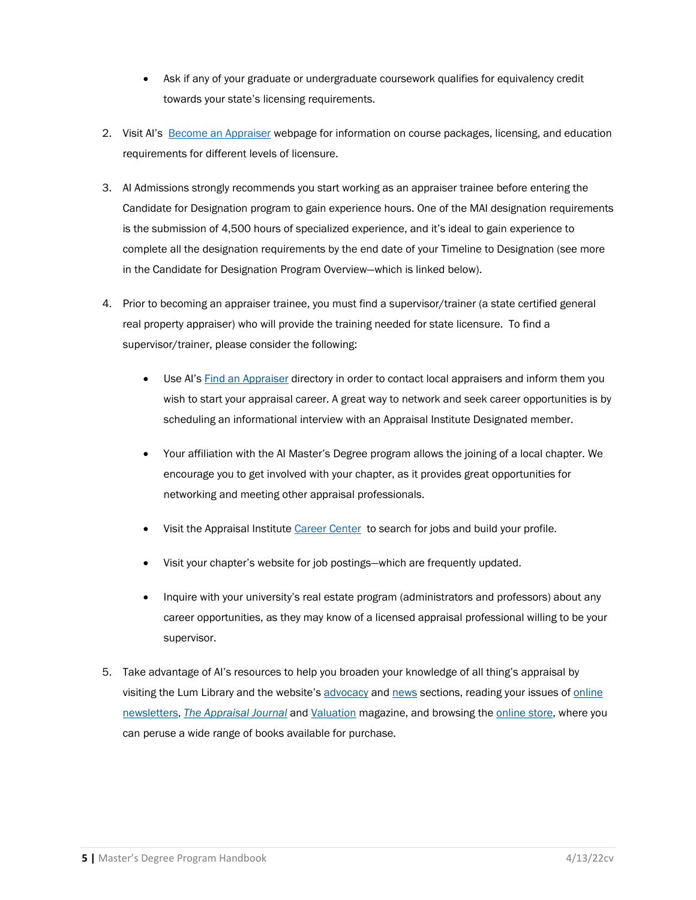- Ask if any of your graduate or undergraduate coursework qualifies for equivalency credit towards your state's licensing requirements.
- 2. Visit AI's [Become an Appraiser w](https://www.appraisalinstitute.org/become-appraiser/)ebpage for information on course packages, licensing, and education requirements for different levels of licensure.
- 3. AI Admissions strongly recommends you start working as an appraiser trainee before entering the Candidate for Designation program to gain experience hours. One of the MAI designation requirements is the submission of 4,500 hours of specialized experience, and it's ideal to gain experience to complete all the designation requirements by the end date of your Timeline to Designation (see more in the Candidate for Designation Program Overview—which is linked below).
- 4. Prior to becoming an appraiser trainee, you must find a supervisor/trainer (a state certified general real property appraiser) who will provide the training needed for state licensure. To find a supervisor/trainer, please consider the following:
	- Use AI's [Find an Appraiser](https://ai.appraisalinstitute.org/eweb/DynamicPage.aspx?webcode=aifaasearch&_ga=2.77129941.1389984678.1602507673-281548555.1527021460) directory in order to contact local appraisers and inform them you wish to start your appraisal career. A great way to network and seek career opportunities is by scheduling an informational interview with an Appraisal Institute Designated member.
	- Your affiliation with the AI Master's Degree program allows the joining of a local chapter. We encourage you to get involved with your chapter, as it provides great opportunities for networking and meeting other appraisal professionals.
	- Visit the Appraisal Institute [Career Center](https://www.appraisalinstitute.org/about/career-center/) to search for jobs and build your profile.
	- Visit your chapter's website for job postings—which are frequently updated.
	- Inquire with your university's real estate program (administrators and professors) about any career opportunities, as they may know of a licensed appraisal professional willing to be your supervisor.
- 5. Take advantage of AI's resources to help you broaden your knowledge of all thing's appraisal by visiting the Lum Library and the website's [advocacy](https://www.appraisalinstitute.org/advocacy/) and [news](https://www.appraisalinstitute.org/news/e-newsletters/) sections, reading your issues o[f online](https://www.appraisalinstitute.org/news/e-newsletters/)  [newsletters,](https://www.appraisalinstitute.org/news/e-newsletters/) *The [Appraisal Journal](https://www.appraisalinstitute.org/publications/the-appraisal-journal/)* and [Valuation](https://www.appraisalinstitute.org/publications/valuation-magazine/) magazine, and browsing the [online store,](https://ai.appraisalinstitute.org/eweb/DynamicPage.aspx?webcode=AIProductList&keyword=Book&filter=&_ga=2.180895591.1192789310.1602775013-547852675.1597157538) where you can peruse a wide range of books available for purchase.